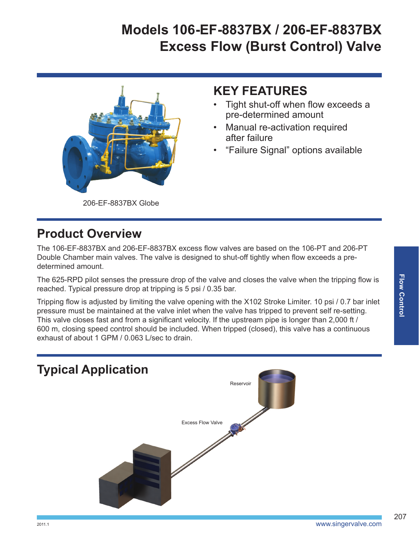# **Models 106-EF-8837BX / 206-EF-8837BX Excess Flow (Burst Control) Valve**



#### **KEY FEATURES**

- Tight shut-off when flow exceeds a pre-determined amount
- **Manual re-activation required** after failure
- "Failure Signal" options available

206-EF-8837BX Globe

#### **Product Overview**

The 106-EF-8837BX and 206-EF-8837BX excess flow valves are based on the 106-PT and 206-PT Double Chamber main valves. The valve is designed to shut-off tightly when flow exceeds a predetermined amount.

The 625-RPD pilot senses the pressure drop of the valve and closes the valve when the tripping flow is reached. Typical pressure drop at tripping is 5 psi / 0.35 bar.

Tripping flow is adjusted by limiting the valve opening with the X102 Stroke Limiter. 10 psi / 0.7 bar inlet pressure must be maintained at the valve inlet when the valve has tripped to prevent self re-setting. This valve closes fast and from a significant velocity. If the upstream pipe is longer than 2,000 ft / 600 m, closing speed control should be included. When tripped (closed), this valve has a continuous exhaust of about 1 GPM / 0.063 L/sec to drain.



207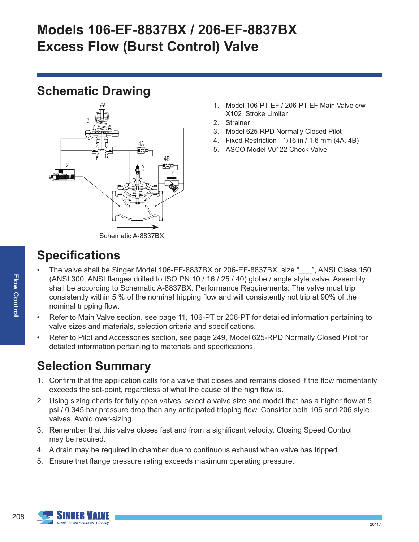# **Models 106-EF-8837BX / 206-EF-8837BX Excess Flow (Burst Control) Valve**

## **Schematic Drawing**



- 1. Model 106-PT-EF / 206-PT-EF Main Valve c/w X102 Stroke Limiter
- 2. Strainer
- 3. Model 625-RPD Normally Closed Pilot
- 4. Fixed Restriction 1/16 in / 1.6 mm (4A, 4B)
- 5. ASCO Model V0122 Check Valve

# **Specifications**

- The valve shall be Singer Model 106-EF-8837BX or 206-EF-8837BX, size " \_\_\_", ANSI Class 150 (ANSI 300, ANSI flanges drilled to ISO PN 10 / 16 / 25 / 40) globe / angle style valve. Assembly shall be according to Schematic A-8837BX. Performance Requirements: The valve must trip consistently within 5 % of the nominal tripping flow and will consistently not trip at 90% of the nominal tripping flow.
- Refer to Main Valve section, see page 11, 106-PT or 206-PT for detailed information pertaining to valve sizes and materials, selection criteria and specifications.
- Refer to Pilot and Accessories section, see page 249, Model 625-RPD Normally Closed Pilot for detailed information pertaining to materials and specifications.

## **Selection Summary**

- 1. Confirm that the application calls for a valve that closes and remains closed if the flow momentarily exceeds the set-point, regardless of what the cause of the high flow is.
- 2. Using sizing charts for fully open valves, select a valve size and model that has a higher flow at 5 psi / 0.345 bar pressure drop than any anticipated tripping flow. Consider both 106 and 206 style valves. Avoid over-sizing.
- 3. Remember that this valve closes fast and from a significant velocity. Closing Speed Control may be required.
- 4. A drain may be required in chamber due to continuous exhaust when valve has tripped.
- 5. Ensure that flange pressure rating exceeds maximum operating pressure.

208